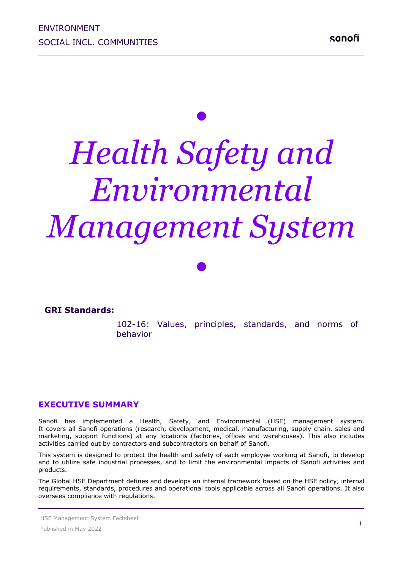# *• Health Safety and Environmental Management System*

**GRI Standards:** 102-16: Values, principles, standards, and norms of behavior 

*•*

#### **EXECUTIVE SUMMARY**

Sanofi has implemented a Health, Safety, and Environmental (HSE) management system. It covers all Sanofi operations (research, development, medical, manufacturing, supply chain, sales and marketing, support functions) at any locations (factories, offices and warehouses). This also includes activities carried out by contractors and subcontractors on behalf of Sanofi.

This system is designed to protect the health and safety of each employee working at Sanofi, to develop and to utilize safe industrial processes, and to limit the environmental impacts of Sanofi activities and products.

The Global HSE Department defines and develops an internal framework based on the HSE policy, internal requirements, standards, procedures and operational tools applicable across all Sanofi operations. It also oversees compliance with regulations.

HSE Management System Factsheet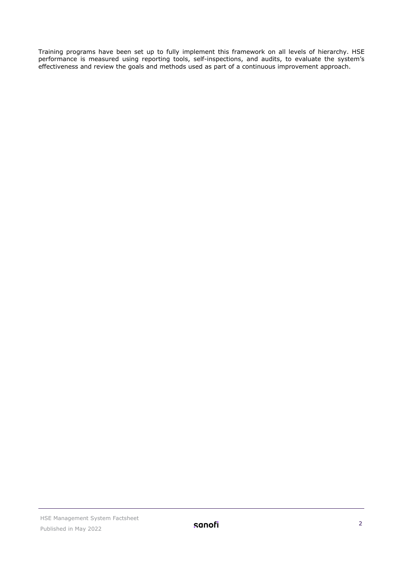Training programs have been set up to fully implement this framework on all levels of hierarchy. HSE performance is measured using reporting tools, self-inspections, and audits, to evaluate the system's effectiveness and review the goals and methods used as part of a continuous improvement approach.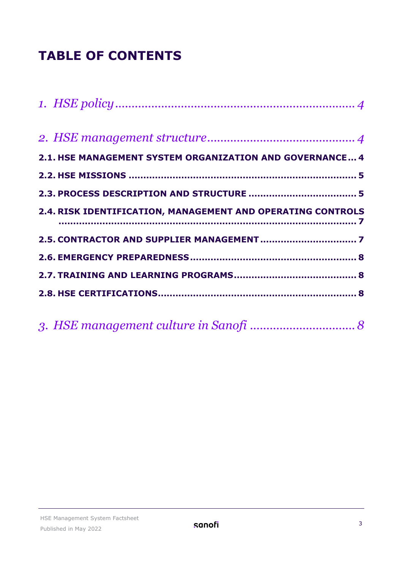# **TABLE OF CONTENTS**

| 2.1. HSE MANAGEMENT SYSTEM ORGANIZATION AND GOVERNANCE 4    |  |
|-------------------------------------------------------------|--|
|                                                             |  |
|                                                             |  |
| 2.4. RISK IDENTIFICATION, MANAGEMENT AND OPERATING CONTROLS |  |
|                                                             |  |
|                                                             |  |
|                                                             |  |
|                                                             |  |
|                                                             |  |

|--|--|--|--|--|--|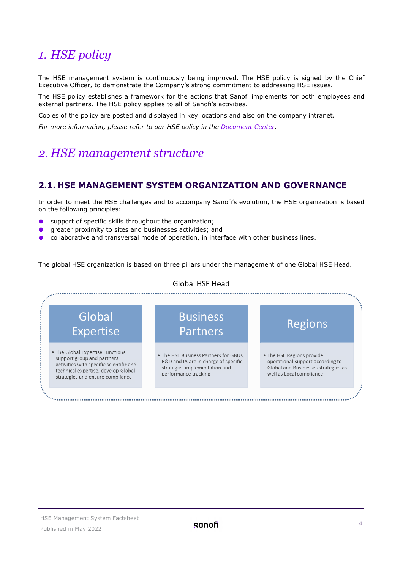# <span id="page-3-0"></span>*1. HSE policy*

The HSE management system is continuously being improved. The HSE policy is signed by the Chief Executive Officer, to demonstrate the Company's strong commitment to addressing HSE issues.

The HSE policy establishes a framework for the actions that Sanofi implements for both employees and external partners. The HSE policy applies to all of Sanofi's activities.

Copies of the policy are posted and displayed in key locations and also on the company intranet.

*For more information, please refer to our HSE policy in the [Document Center](https://www.sanofi.com/en/our-responsibility/documents-center/)*.

# <span id="page-3-1"></span>*2. HSE management structure*

## <span id="page-3-2"></span>**2.1. HSE MANAGEMENT SYSTEM ORGANIZATION AND GOVERNANCE**

In order to meet the HSE challenges and to accompany Sanofi's evolution, the HSE organization is based on the following principles:

- support of specific skills throughout the organization;  $\bullet$
- greater proximity to sites and businesses activities; and
- collaborative and transversal mode of operation, in interface with other business lines.  $\bullet$

The global HSE organization is based on three pillars under the management of one Global HSE Head.



#### HSE Management System Factsheet Published in May 2022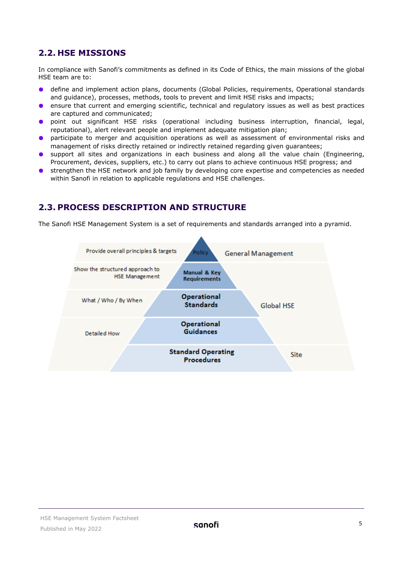# <span id="page-4-0"></span>**2.2. HSE MISSIONS**

In compliance with Sanofi's commitments as defined in its Code of Ethics, the main missions of the global HSE team are to:

- define and implement action plans, documents (Global Policies, requirements, Operational standards and guidance), processes, methods, tools to prevent and limit HSE risks and impacts;
- ensure that current and emerging scientific, technical and regulatory issues as well as best practices  $\bullet$ are captured and communicated;
- point out significant HSE risks (operational including business interruption, financial, legal,  $\bullet$ reputational), alert relevant people and implement adequate mitigation plan;
- participate to merger and acquisition operations as well as assessment of environmental risks and  $\bullet$ management of risks directly retained or indirectly retained regarding given guarantees;
- **o** support all sites and organizations in each business and along all the value chain (Engineering, Procurement, devices, suppliers, etc.) to carry out plans to achieve continuous HSE progress; and
- **•** strengthen the HSE network and job family by developing core expertise and competencies as needed within Sanofi in relation to applicable regulations and HSE challenges.

# <span id="page-4-1"></span>**2.3. PROCESS DESCRIPTION AND STRUCTURE**

The Sanofi HSE Management System is a set of requirements and standards arranged into a pyramid.

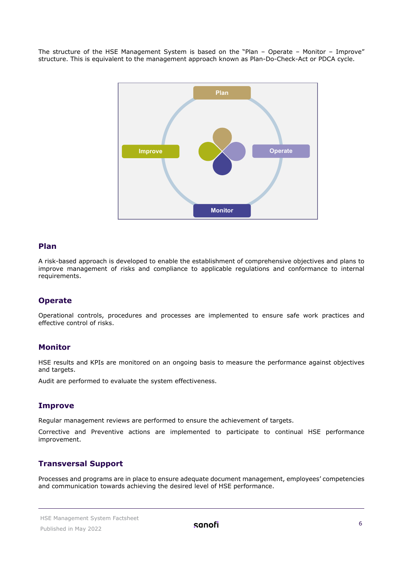The structure of the HSE Management System is based on the "Plan – Operate – Monitor – Improve" structure. This is equivalent to the management approach known as Plan-Do-Check-Act or PDCA cycle.



#### **Plan**

A risk-based approach is developed to enable the establishment of comprehensive objectives and plans to improve management of risks and compliance to applicable regulations and conformance to internal requirements.

#### **Operate**

Operational controls, procedures and processes are implemented to ensure safe work practices and effective control of risks.

#### **Monitor**

HSE results and KPIs are monitored on an ongoing basis to measure the performance against objectives and targets.

Audit are performed to evaluate the system effectiveness.

#### **Improve**

Regular management reviews are performed to ensure the achievement of targets.

Corrective and Preventive actions are implemented to participate to continual HSE performance improvement.

#### **Transversal Support**

Processes and programs are in place to ensure adequate document management, employees' competencies and communication towards achieving the desired level of HSE performance.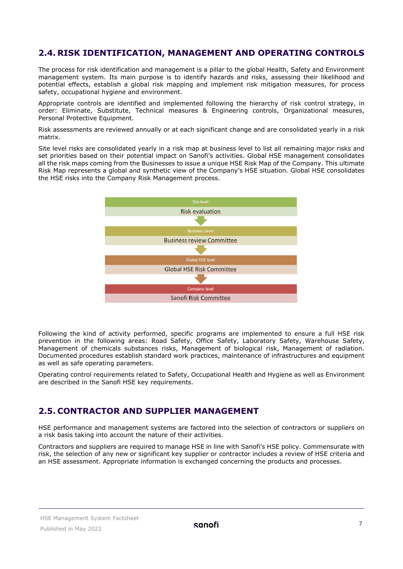# <span id="page-6-0"></span>**2.4. RISK IDENTIFICATION, MANAGEMENT AND OPERATING CONTROLS**

The process for risk identification and management is a pillar to the global Health, Safety and Environment management system. Its main purpose is to identify hazards and risks, assessing their likelihood and potential effects, establish a global risk mapping and implement risk mitigation measures, for process safety, occupational hygiene and environment.

Appropriate controls are identified and implemented following the hierarchy of risk control strategy, in order: Eliminate, Substitute, Technical measures & Engineering controls, Organizational measures, Personal Protective Equipment.

Risk assessments are reviewed annually or at each significant change and are consolidated yearly in a risk matrix.

Site level risks are consolidated yearly in a risk map at business level to list all remaining major risks and set priorities based on their potential impact on Sanofi's activities. Global HSE management consolidates all the risk maps coming from the Businesses to issue a unique HSE Risk Map of the Company. This ultimate Risk Map represents a global and synthetic view of the Company's HSE situation. Global HSE consolidates the HSE risks into the Company Risk Management process.



Following the kind of activity performed, specific programs are implemented to ensure a full HSE risk prevention in the following areas: Road Safety, Office Safety, Laboratory Safety, Warehouse Safety, Management of chemicals substances risks, Management of biological risk, Management of radiation. Documented procedures establish standard work practices, maintenance of infrastructures and equipment as well as safe operating parameters.

Operating control requirements related to Safety, Occupational Health and Hygiene as well as Environment are described in the Sanofi HSE key requirements.

## <span id="page-6-1"></span>**2.5. CONTRACTOR AND SUPPLIER MANAGEMENT**

HSE performance and management systems are factored into the selection of contractors or suppliers on a risk basis taking into account the nature of their activities.

Contractors and suppliers are required to manage HSE in line with Sanofi's HSE policy. Commensurate with risk, the selection of any new or significant key supplier or contractor includes a review of HSE criteria and an HSE assessment. Appropriate information is exchanged concerning the products and processes.

#### HSE Management System Factsheet Published in May 2022